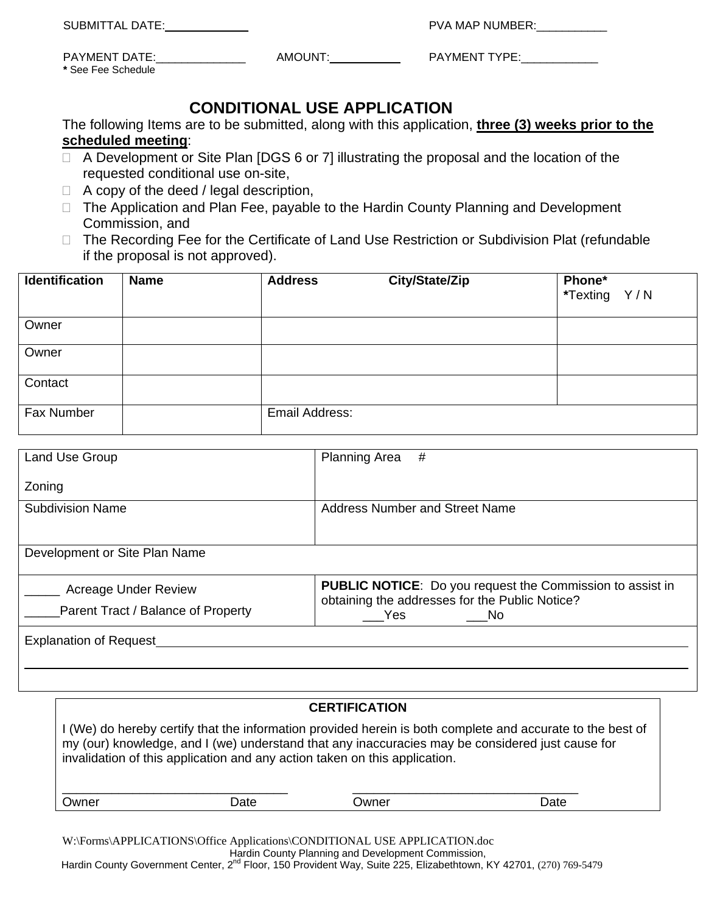| <b>SUBMITTAL DATE:</b> |  |
|------------------------|--|
|------------------------|--|

PVA MAP NUMBER:

| <b>PAYMENT DATE:</b> |  |
|----------------------|--|
| * See Fee Schedule   |  |

AMOUNT:\_\_\_\_\_\_\_\_\_\_\_ PAYMENT TYPE:\_\_\_\_\_\_\_\_\_\_\_\_

## **CONDITIONAL USE APPLICATION**

The following Items are to be submitted, along with this application, **three (3) weeks prior to the scheduled meeting**:

- $\Box$  A Development or Site Plan [DGS 6 or 7] illustrating the proposal and the location of the requested conditional use on-site,
- $\Box$  A copy of the deed / legal description,
- □ The Application and Plan Fee, payable to the Hardin County Planning and Development Commission, and
- □ The Recording Fee for the Certificate of Land Use Restriction or Subdivision Plat (refundable if the proposal is not approved).

| <b>Identification</b> | <b>Name</b> | <b>Address</b> | City/State/Zip | Phone*<br>*Texting Y/N |
|-----------------------|-------------|----------------|----------------|------------------------|
| Owner                 |             |                |                |                        |
| Owner                 |             |                |                |                        |
| Contact               |             |                |                |                        |
| Fax Number            |             | Email Address: |                |                        |

| Land Use Group                     | <b>Planning Area</b><br>#                                        |
|------------------------------------|------------------------------------------------------------------|
| Zoning                             |                                                                  |
| <b>Subdivision Name</b>            | Address Number and Street Name                                   |
|                                    |                                                                  |
| Development or Site Plan Name      |                                                                  |
| <b>Acreage Under Review</b>        | <b>PUBLIC NOTICE:</b> Do you request the Commission to assist in |
| Parent Tract / Balance of Property | obtaining the addresses for the Public Notice?<br>Yes<br>- No    |
| <b>Explanation of Request</b>      |                                                                  |
|                                    |                                                                  |

## **CERTIFICATION**

I (We) do hereby certify that the information provided herein is both complete and accurate to the best of my (our) knowledge, and I (we) understand that any inaccuracies may be considered just cause for invalidation of this application and any action taken on this application.

W:\Forms\APPLICATIONS\Office Applications\CONDITIONAL USE APPLICATION.doc Hardin County Planning and Development Commission, Hardin County Government Center, 2<sup>nd</sup> Floor, 150 Provident Way, Suite 225, Elizabethtown, KY 42701, (270) 769-5479